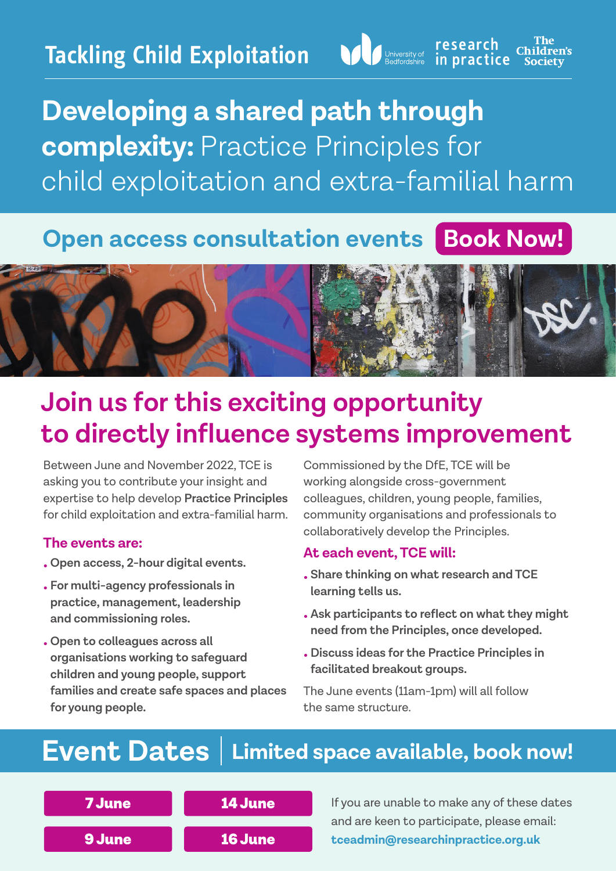

The<br>Children's research in practice **Society** 

## **Developing a shared path through complexity:** Practice Principles for child exploitation and extra-familial harm

### **Open access consultation events | [Book Now!](https://researchinpractice.arlo.co/courses/1651-developing-a-shared-path-through-complexity-practice-principles-for-extrafamilial-harm-consultation-event?t=4ea64e9e26af477d8a5c4bfaa4d5510a)**



## **Join us for this exciting opportunity to directly influence systems improvement**

Between June and November 2022, TCE is asking you to contribute your insight and expertise to help develop **Practice Principles** for child exploitation and extra-familial harm.

#### **The events are:**

- **Open access, 2-hour digital events.**
- **For multi-agency professionals in practice, management, leadership and commissioning roles.**
- **• Open to colleagues across all organisations working to safeguard children and young people, support families and create safe spaces and places for young people.**

Commissioned by the DfE, TCE will be working alongside cross-government colleagues, children, young people, families, community organisations and professionals to collaboratively develop the Principles.

#### **At each event, TCE will:**

- **• Share thinking on what research and TCE learning tells us.**
- **• Ask participants to reflect on what they might need from the Principles, once developed.**
- **• Discuss ideas for the Practice Principles in facilitated breakout groups.**

The June events (11am-1pm) will all follow the same structure.

### **Event Dates [Limited space available, book](https://researchinpractice.arlo.co/courses/1651-developing-a-shared-path-through-complexity-practice-principles-for-extrafamilial-harm-consultation-event?t=4ea64e9e26af477d8a5c4bfaa4d5510a) now!**



If you are unable to make any of these dates and are keen to participate, please email: **[tceadmin@researchinpractice.org.uk](mailto:tceadmin%40researchinpractice.org.uk?subject=)**